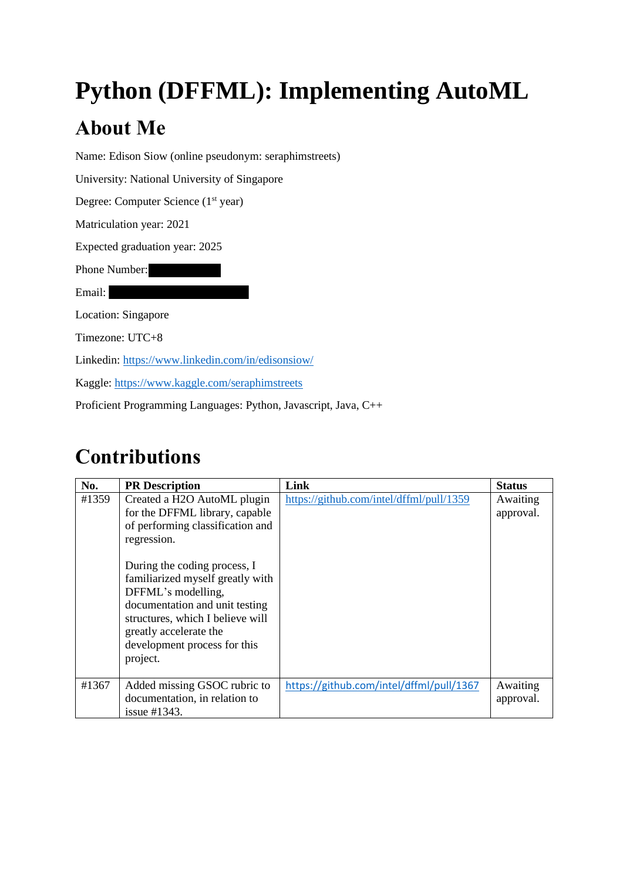# **Python (DFFML): Implementing AutoML**

# **About Me**

Name: Edison Siow (online pseudonym: seraphimstreets)

University: National University of Singapore

Degree: Computer Science (1<sup>st</sup> year)

Matriculation year: 2021

Expected graduation year: 2025

Phone Number:

Email:

Location: Singapore

Timezone: UTC+8

Linkedin:<https://www.linkedin.com/in/edisonsiow/>

Kaggle:<https://www.kaggle.com/seraphimstreets>

Proficient Programming Languages: Python, Javascript, Java, C++

# **Contributions**

| No.   | <b>PR</b> Description                                                                                                                                                                                                                                                                                                                                  | Link                                     | <b>Status</b>         |
|-------|--------------------------------------------------------------------------------------------------------------------------------------------------------------------------------------------------------------------------------------------------------------------------------------------------------------------------------------------------------|------------------------------------------|-----------------------|
| #1359 | Created a H2O AutoML plugin<br>for the DFFML library, capable<br>of performing classification and<br>regression.<br>During the coding process, I<br>familiarized myself greatly with<br>DFFML's modelling,<br>documentation and unit testing<br>structures, which I believe will<br>greatly accelerate the<br>development process for this<br>project. | https://github.com/intel/dffml/pull/1359 | Awaiting<br>approval. |
|       |                                                                                                                                                                                                                                                                                                                                                        |                                          |                       |
| #1367 | Added missing GSOC rubric to<br>documentation, in relation to<br>issue $\#1343$ .                                                                                                                                                                                                                                                                      | https://github.com/intel/dffml/pull/1367 | Awaiting<br>approval. |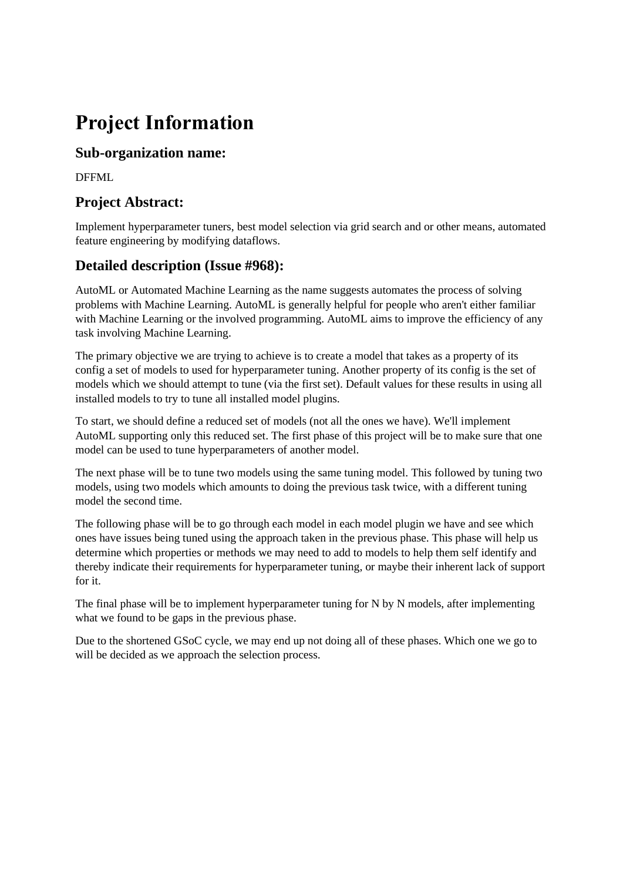# **Project Information**

## **Sub-organization name:**

DFFML

## **Project Abstract:**

Implement hyperparameter tuners, best model selection via grid search and or other means, automated feature engineering by modifying dataflows.

## **Detailed description (Issue #968):**

AutoML or Automated Machine Learning as the name suggests automates the process of solving problems with Machine Learning. AutoML is generally helpful for people who aren't either familiar with Machine Learning or the involved programming. AutoML aims to improve the efficiency of any task involving Machine Learning.

The primary objective we are trying to achieve is to create a model that takes as a property of its config a set of models to used for hyperparameter tuning. Another property of its config is the set of models which we should attempt to tune (via the first set). Default values for these results in using all installed models to try to tune all installed model plugins.

To start, we should define a reduced set of models (not all the ones we have). We'll implement AutoML supporting only this reduced set. The first phase of this project will be to make sure that one model can be used to tune hyperparameters of another model.

The next phase will be to tune two models using the same tuning model. This followed by tuning two models, using two models which amounts to doing the previous task twice, with a different tuning model the second time.

The following phase will be to go through each model in each model plugin we have and see which ones have issues being tuned using the approach taken in the previous phase. This phase will help us determine which properties or methods we may need to add to models to help them self identify and thereby indicate their requirements for hyperparameter tuning, or maybe their inherent lack of support for it.

The final phase will be to implement hyperparameter tuning for N by N models, after implementing what we found to be gaps in the previous phase.

Due to the shortened GSoC cycle, we may end up not doing all of these phases. Which one we go to will be decided as we approach the selection process.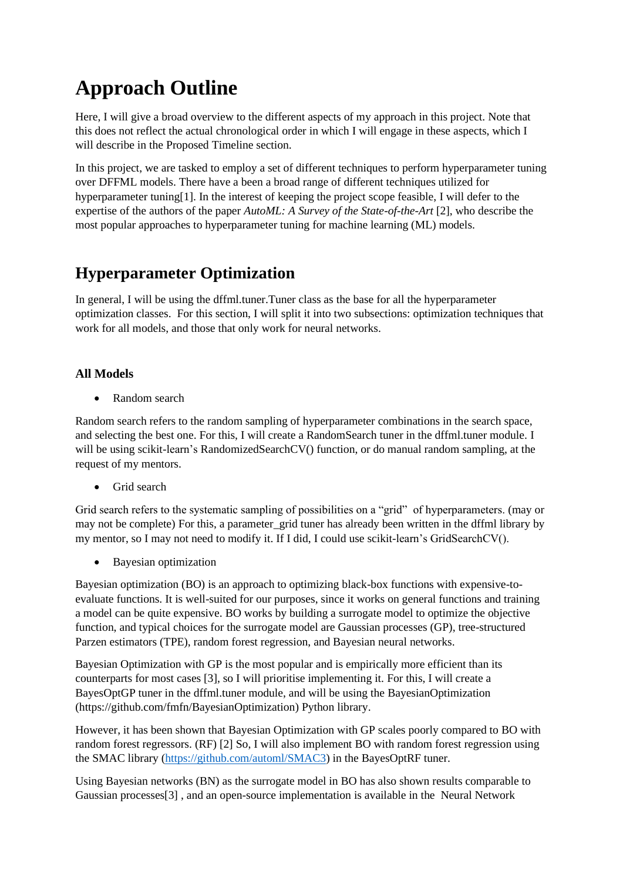# **Approach Outline**

Here, I will give a broad overview to the different aspects of my approach in this project. Note that this does not reflect the actual chronological order in which I will engage in these aspects, which I will describe in the Proposed Timeline section.

In this project, we are tasked to employ a set of different techniques to perform hyperparameter tuning over DFFML models. There have a been a broad range of different techniques utilized for hyperparameter tuning[1]. In the interest of keeping the project scope feasible, I will defer to the expertise of the authors of the paper *AutoML: A Survey of the State-of-the-Art* [2], who describe the most popular approaches to hyperparameter tuning for machine learning (ML) models.

## **Hyperparameter Optimization**

In general, I will be using the dffml.tuner.Tuner class as the base for all the hyperparameter optimization classes. For this section, I will split it into two subsections: optimization techniques that work for all models, and those that only work for neural networks.

### **All Models**

• Random search

Random search refers to the random sampling of hyperparameter combinations in the search space, and selecting the best one. For this, I will create a RandomSearch tuner in the dffml.tuner module. I will be using scikit-learn's RandomizedSearchCV() function, or do manual random sampling, at the request of my mentors.

• Grid search

Grid search refers to the systematic sampling of possibilities on a "grid" of hyperparameters. (may or may not be complete) For this, a parameter grid tuner has already been written in the dffml library by my mentor, so I may not need to modify it. If I did, I could use scikit-learn's GridSearchCV().

• Bayesian optimization

Bayesian optimization (BO) is an approach to optimizing black-box functions with expensive-toevaluate functions. It is well-suited for our purposes, since it works on general functions and training a model can be quite expensive. BO works by building a surrogate model to optimize the objective function, and typical choices for the surrogate model are Gaussian processes (GP), tree-structured Parzen estimators (TPE), random forest regression, and Bayesian neural networks.

Bayesian Optimization with GP is the most popular and is empirically more efficient than its counterparts for most cases [3], so I will prioritise implementing it. For this, I will create a BayesOptGP tuner in the dffml.tuner module, and will be using the BayesianOptimization (https://github.com/fmfn/BayesianOptimization) Python library.

However, it has been shown that Bayesian Optimization with GP scales poorly compared to BO with random forest regressors. (RF) [2] So, I will also implement BO with random forest regression using the SMAC library [\(https://github.com/automl/SMAC3\)](https://github.com/automl/SMAC3) in the BayesOptRF tuner.

Using Bayesian networks (BN) as the surrogate model in BO has also shown results comparable to Gaussian processes[3] , and an open-source implementation is available in the Neural Network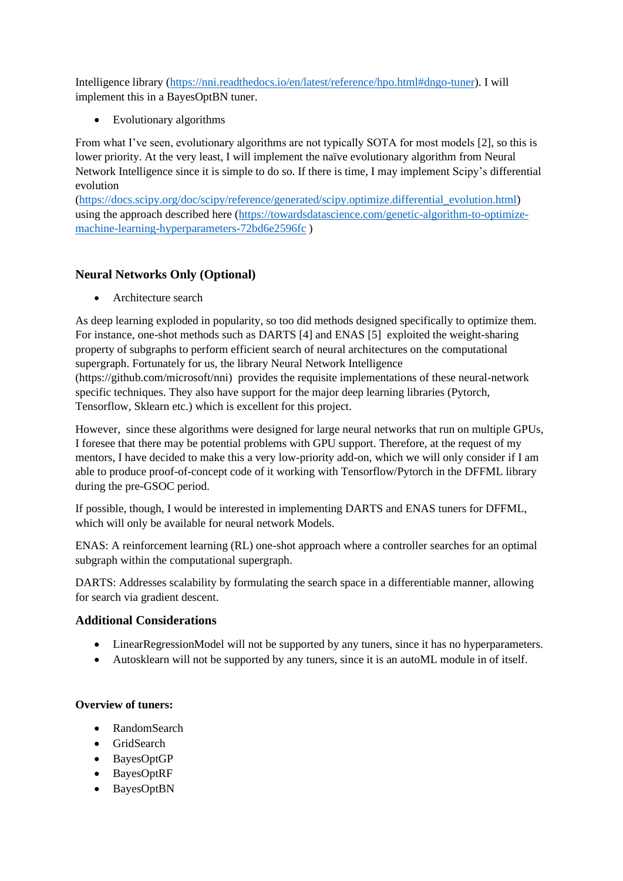Intelligence library [\(https://nni.readthedocs.io/en/latest/reference/hpo.html#dngo-tuner\)](https://nni.readthedocs.io/en/latest/reference/hpo.html#dngo-tuner). I will implement this in a BayesOptBN tuner.

• Evolutionary algorithms

From what I've seen, evolutionary algorithms are not typically SOTA for most models [2], so this is lower priority. At the very least, I will implement the naïve evolutionary algorithm from Neural Network Intelligence since it is simple to do so. If there is time, I may implement Scipy's differential evolution

[\(https://docs.scipy.org/doc/scipy/reference/generated/scipy.optimize.differential\\_evolution.html\)](https://docs.scipy.org/doc/scipy/reference/generated/scipy.optimize.differential_evolution.html) using the approach described here [\(https://towardsdatascience.com/genetic-algorithm-to-optimize](https://towardsdatascience.com/genetic-algorithm-to-optimize-machine-learning-hyperparameters-72bd6e2596fc)[machine-learning-hyperparameters-72bd6e2596fc](https://towardsdatascience.com/genetic-algorithm-to-optimize-machine-learning-hyperparameters-72bd6e2596fc) )

### **Neural Networks Only (Optional)**

• Architecture search

As deep learning exploded in popularity, so too did methods designed specifically to optimize them. For instance, one-shot methods such as DARTS [4] and ENAS [5] exploited the weight-sharing property of subgraphs to perform efficient search of neural architectures on the computational supergraph. Fortunately for us, the library Neural Network Intelligence (https://github.com/microsoft/nni) provides the requisite implementations of these neural-network specific techniques. They also have support for the major deep learning libraries (Pytorch, Tensorflow, Sklearn etc.) which is excellent for this project.

However, since these algorithms were designed for large neural networks that run on multiple GPUs, I foresee that there may be potential problems with GPU support. Therefore, at the request of my mentors, I have decided to make this a very low-priority add-on, which we will only consider if I am able to produce proof-of-concept code of it working with Tensorflow/Pytorch in the DFFML library during the pre-GSOC period.

If possible, though, I would be interested in implementing DARTS and ENAS tuners for DFFML, which will only be available for neural network Models.

ENAS: A reinforcement learning (RL) one-shot approach where a controller searches for an optimal subgraph within the computational supergraph.

DARTS: Addresses scalability by formulating the search space in a differentiable manner, allowing for search via gradient descent.

#### **Additional Considerations**

- LinearRegressionModel will not be supported by any tuners, since it has no hyperparameters.
- Autosklearn will not be supported by any tuners, since it is an autoML module in of itself.

#### **Overview of tuners:**

- RandomSearch
- GridSearch
- BayesOptGP
- BayesOptRF
- BayesOptBN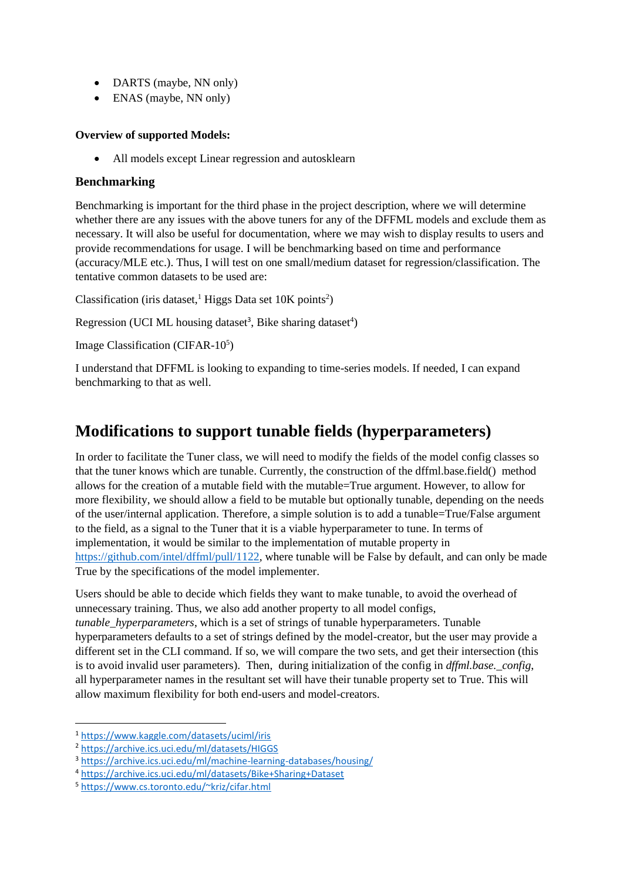- DARTS (maybe, NN only)
- ENAS (maybe, NN only)

#### **Overview of supported Models:**

• All models except Linear regression and autosklearn

#### **Benchmarking**

Benchmarking is important for the third phase in the project description, where we will determine whether there are any issues with the above tuners for any of the DFFML models and exclude them as necessary. It will also be useful for documentation, where we may wish to display results to users and provide recommendations for usage. I will be benchmarking based on time and performance (accuracy/MLE etc.). Thus, I will test on one small/medium dataset for regression/classification. The tentative common datasets to be used are:

Classification (iris dataset,<sup>1</sup> Higgs Data set  $10K$  points<sup>2</sup>)

Regression (UCI ML housing dataset<sup>3</sup>, Bike sharing dataset<sup>4</sup>)

Image Classification (CIFAR-10<sup>5</sup>)

I understand that DFFML is looking to expanding to time-series models. If needed, I can expand benchmarking to that as well.

## **Modifications to support tunable fields (hyperparameters)**

In order to facilitate the Tuner class, we will need to modify the fields of the model config classes so that the tuner knows which are tunable. Currently, the construction of the dffml.base.field() method allows for the creation of a mutable field with the mutable=True argument. However, to allow for more flexibility, we should allow a field to be mutable but optionally tunable, depending on the needs of the user/internal application. Therefore, a simple solution is to add a tunable=True/False argument to the field, as a signal to the Tuner that it is a viable hyperparameter to tune. In terms of implementation, it would be similar to the implementation of mutable property in [https://github.com/intel/dffml/pull/1122,](https://github.com/intel/dffml/pull/1122) where tunable will be False by default, and can only be made True by the specifications of the model implementer.

Users should be able to decide which fields they want to make tunable, to avoid the overhead of unnecessary training. Thus, we also add another property to all model configs, *tunable hyperparameters*, which is a set of strings of tunable hyperparameters. Tunable hyperparameters defaults to a set of strings defined by the model-creator, but the user may provide a different set in the CLI command. If so, we will compare the two sets, and get their intersection (this is to avoid invalid user parameters). Then, during initialization of the config in *dffml.base.\_config*, all hyperparameter names in the resultant set will have their tunable property set to True. This will allow maximum flexibility for both end-users and model-creators.

<sup>1</sup> <https://www.kaggle.com/datasets/uciml/iris>

<sup>2</sup> <https://archive.ics.uci.edu/ml/datasets/HIGGS>

<sup>3</sup> <https://archive.ics.uci.edu/ml/machine-learning-databases/housing/>

<sup>4</sup> <https://archive.ics.uci.edu/ml/datasets/Bike+Sharing+Dataset>

<sup>5</sup> <https://www.cs.toronto.edu/~kriz/cifar.html>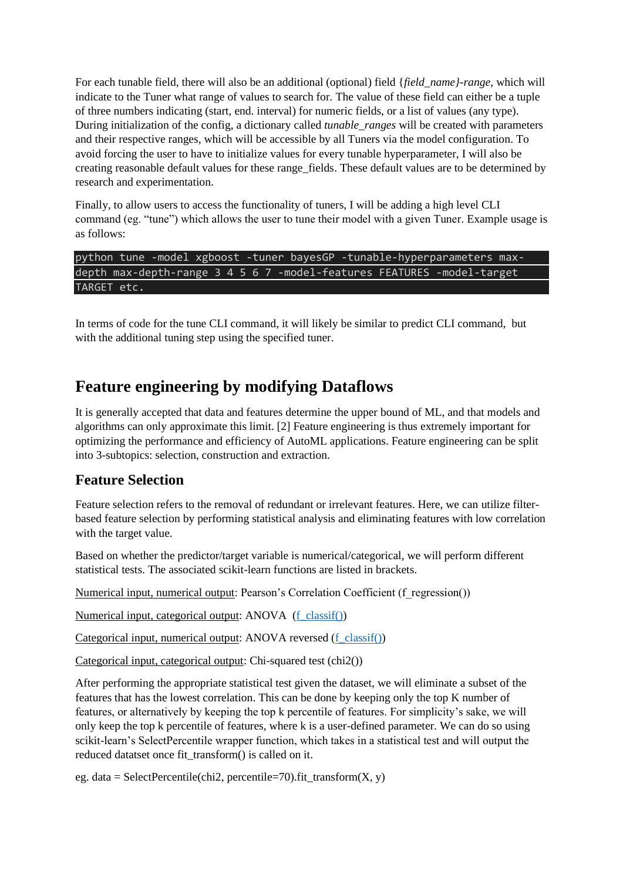For each tunable field, there will also be an additional (optional) field {*field\_name}-range*, which will indicate to the Tuner what range of values to search for. The value of these field can either be a tuple of three numbers indicating (start, end. interval) for numeric fields, or a list of values (any type). During initialization of the config, a dictionary called *tunable\_ranges* will be created with parameters and their respective ranges, which will be accessible by all Tuners via the model configuration. To avoid forcing the user to have to initialize values for every tunable hyperparameter, I will also be creating reasonable default values for these range\_fields. These default values are to be determined by research and experimentation.

Finally, to allow users to access the functionality of tuners, I will be adding a high level CLI command (eg. "tune") which allows the user to tune their model with a given Tuner. Example usage is as follows:

python tune -model xgboost -tuner bayesGP -tunable-hyperparameters maxdepth max-depth-range 3 4 5 6 7 -model-features FEATURES -model-target TARGET etc.

In terms of code for the tune CLI command, it will likely be similar to predict CLI command, but with the additional tuning step using the specified tuner.

## **Feature engineering by modifying Dataflows**

It is generally accepted that data and features determine the upper bound of ML, and that models and algorithms can only approximate this limit. [2] Feature engineering is thus extremely important for optimizing the performance and efficiency of AutoML applications. Feature engineering can be split into 3-subtopics: selection, construction and extraction.

### **Feature Selection**

Feature selection refers to the removal of redundant or irrelevant features. Here, we can utilize filterbased feature selection by performing statistical analysis and eliminating features with low correlation with the target value.

Based on whether the predictor/target variable is numerical/categorical, we will perform different statistical tests. The associated scikit-learn functions are listed in brackets.

Numerical input, numerical output: Pearson's Correlation Coefficient (f\_regression())

Numerical input, categorical output: ANOVA [\(f\\_classif\(\)\)](https://scikit-learn.org/stable/modules/generated/sklearn.feature_selection.f_classif.html)

Categorical input, numerical output: ANOVA reversed [\(f\\_classif\(\)\)](https://scikit-learn.org/stable/modules/generated/sklearn.feature_selection.f_classif.html)

Categorical input, categorical output: Chi-squared test (chi2())

After performing the appropriate statistical test given the dataset, we will eliminate a subset of the features that has the lowest correlation. This can be done by keeping only the top K number of features, or alternatively by keeping the top k percentile of features. For simplicity's sake, we will only keep the top k percentile of features, where k is a user-defined parameter. We can do so using scikit-learn's SelectPercentile wrapper function, which takes in a statistical test and will output the reduced datatset once fit transform() is called on it.

eg. data = SelectPercentile(chi2, percentile=70).fit\_transform $(X, y)$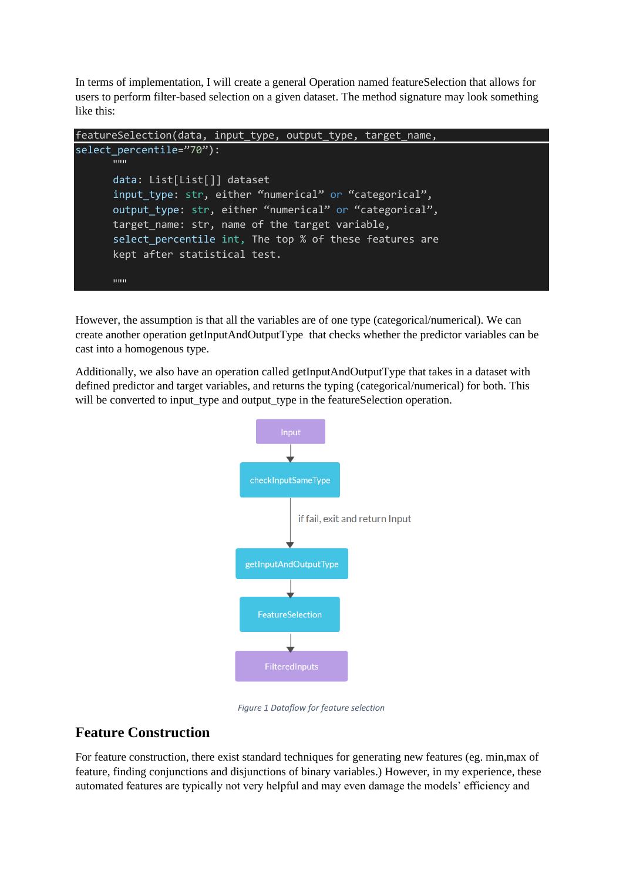In terms of implementation, I will create a general Operation named featureSelection that allows for users to perform filter-based selection on a given dataset. The method signature may look something like this:

```
featureSelection(data, input_type, output_type, target_name, 
select percentile="70"):
      "''"data: List[List[]] dataset
      input type: str, either "numerical" or "categorical",
      output_type: str, either "numerical" or "categorical",
      target name: str, name of the target variable,
      select_percentile int, The top % of these features are 
      kept after statistical test. 
      "''"
```
However, the assumption is that all the variables are of one type (categorical/numerical). We can create another operation getInputAndOutputType that checks whether the predictor variables can be cast into a homogenous type.

Additionally, we also have an operation called getInputAndOutputType that takes in a dataset with defined predictor and target variables, and returns the typing (categorical/numerical) for both. This will be converted to input\_type and output\_type in the featureSelection operation.



*Figure 1 Dataflow for feature selection*

## **Feature Construction**

For feature construction, there exist standard techniques for generating new features (eg. min,max of feature, finding conjunctions and disjunctions of binary variables.) However, in my experience, these automated features are typically not very helpful and may even damage the models' efficiency and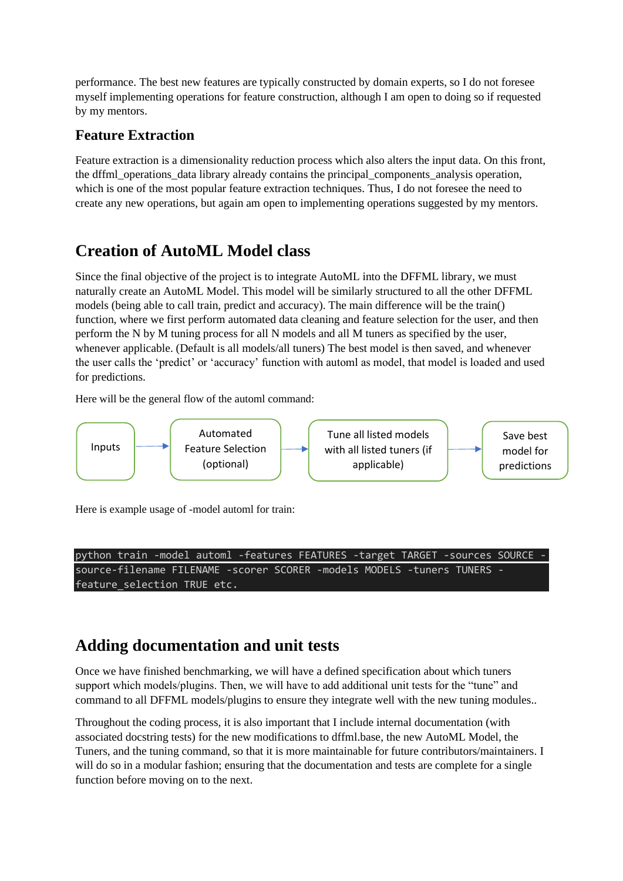performance. The best new features are typically constructed by domain experts, so I do not foresee myself implementing operations for feature construction, although I am open to doing so if requested by my mentors.

## **Feature Extraction**

Feature extraction is a dimensionality reduction process which also alters the input data. On this front, the dffml\_operations\_data library already contains the principal\_components\_analysis operation, which is one of the most popular feature extraction techniques. Thus, I do not foresee the need to create any new operations, but again am open to implementing operations suggested by my mentors.

## **Creation of AutoML Model class**

Since the final objective of the project is to integrate AutoML into the DFFML library, we must naturally create an AutoML Model. This model will be similarly structured to all the other DFFML models (being able to call train, predict and accuracy). The main difference will be the train() function, where we first perform automated data cleaning and feature selection for the user, and then perform the N by M tuning process for all N models and all M tuners as specified by the user, whenever applicable. (Default is all models/all tuners) The best model is then saved, and whenever the user calls the 'predict' or 'accuracy' function with automl as model, that model is loaded and used for predictions.

Here will be the general flow of the automl command:



Here is example usage of -model automl for train:

python train -model automl -features FEATURES -target TARGET -sources SOURCE source-filename FILENAME -scorer SCORER -models MODELS -tuners TUNERS feature\_selection TRUE etc.

## **Adding documentation and unit tests**

Once we have finished benchmarking, we will have a defined specification about which tuners support which models/plugins. Then, we will have to add additional unit tests for the "tune" and command to all DFFML models/plugins to ensure they integrate well with the new tuning modules..

Throughout the coding process, it is also important that I include internal documentation (with associated docstring tests) for the new modifications to dffml.base, the new AutoML Model, the Tuners, and the tuning command, so that it is more maintainable for future contributors/maintainers. I will do so in a modular fashion; ensuring that the documentation and tests are complete for a single function before moving on to the next.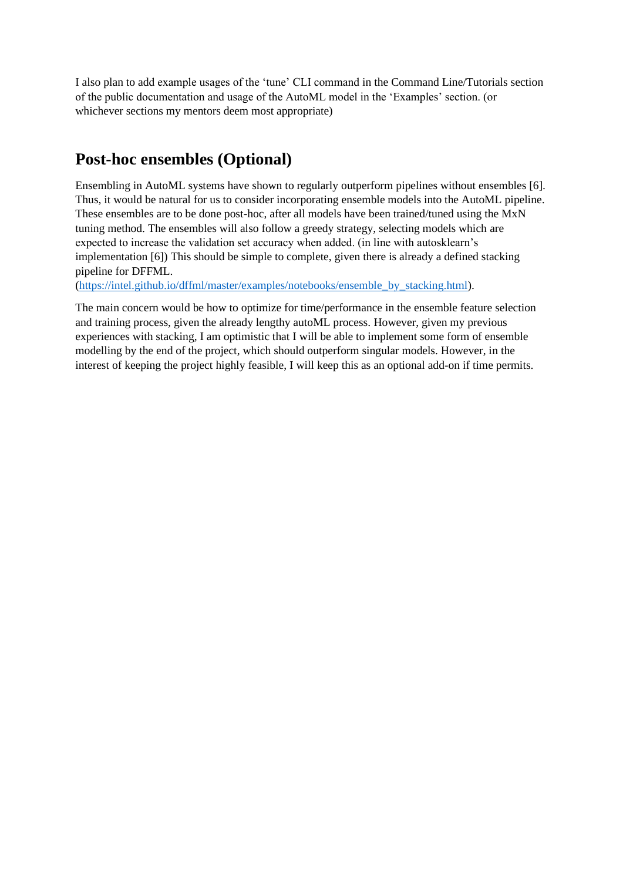I also plan to add example usages of the 'tune' CLI command in the Command Line/Tutorials section of the public documentation and usage of the AutoML model in the 'Examples' section. (or whichever sections my mentors deem most appropriate)

## **Post-hoc ensembles (Optional)**

Ensembling in AutoML systems have shown to regularly outperform pipelines without ensembles [6]. Thus, it would be natural for us to consider incorporating ensemble models into the AutoML pipeline. These ensembles are to be done post-hoc, after all models have been trained/tuned using the MxN tuning method. The ensembles will also follow a greedy strategy, selecting models which are expected to increase the validation set accuracy when added. (in line with autosklearn's implementation [6]) This should be simple to complete, given there is already a defined stacking pipeline for DFFML.

[\(https://intel.github.io/dffml/master/examples/notebooks/ensemble\\_by\\_stacking.html\)](https://intel.github.io/dffml/master/examples/notebooks/ensemble_by_stacking.html).

The main concern would be how to optimize for time/performance in the ensemble feature selection and training process, given the already lengthy autoML process. However, given my previous experiences with stacking, I am optimistic that I will be able to implement some form of ensemble modelling by the end of the project, which should outperform singular models. However, in the interest of keeping the project highly feasible, I will keep this as an optional add-on if time permits.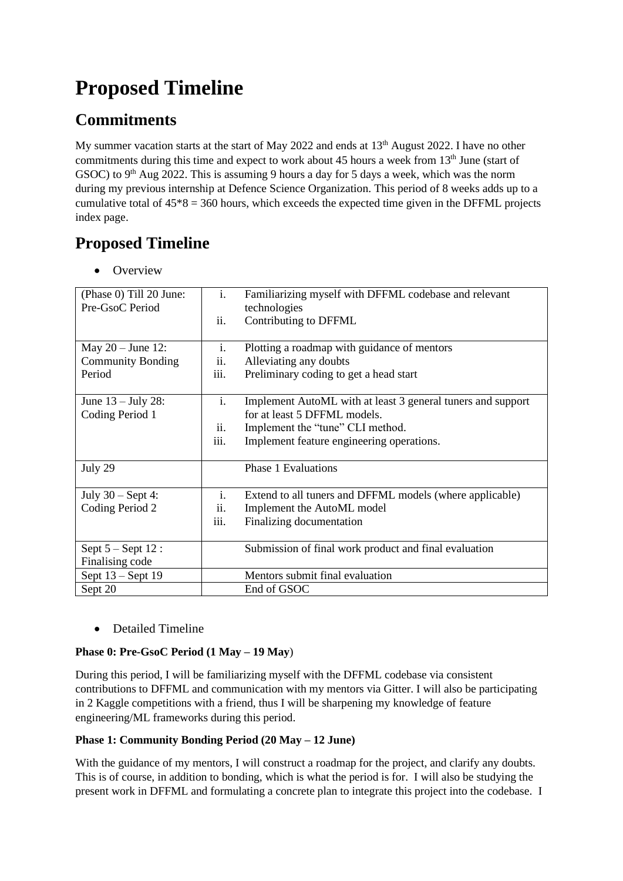# **Proposed Timeline**

## **Commitments**

My summer vacation starts at the start of May 2022 and ends at 13<sup>th</sup> August 2022. I have no other commitments during this time and expect to work about 45 hours a week from 13<sup>th</sup> June (start of GSOC) to  $9<sup>th</sup>$  Aug 2022. This is assuming 9 hours a day for 5 days a week, which was the norm during my previous internship at Defence Science Organization. This period of 8 weeks adds up to a cumulative total of  $45*8 = 360$  hours, which exceeds the expected time given in the DFFML projects index page.

## **Proposed Timeline**

• Overview

| (Phase 0) Till 20 June:<br>Pre-GsoC Period                | $\mathbf{i}$ .<br>ii.         | Familiarizing myself with DFFML codebase and relevant<br>technologies<br>Contributing to DFFML                                                                               |
|-----------------------------------------------------------|-------------------------------|------------------------------------------------------------------------------------------------------------------------------------------------------------------------------|
| May $20 -$ June 12:<br><b>Community Bonding</b><br>Period | i.<br>ii.<br>iii.             | Plotting a roadmap with guidance of mentors<br>Alleviating any doubts<br>Preliminary coding to get a head start                                                              |
| June $13 -$ July 28:<br>Coding Period 1                   | $\mathbf{i}$ .<br>ii.<br>iii. | Implement AutoML with at least 3 general tuners and support<br>for at least 5 DFFML models.<br>Implement the "tune" CLI method.<br>Implement feature engineering operations. |
| July 29                                                   |                               | <b>Phase 1 Evaluations</b>                                                                                                                                                   |
| July $30 - Sept 4$ :<br>Coding Period 2                   | i.<br>ii.<br>iii.             | Extend to all tuners and DFFML models (where applicable)<br>Implement the AutoML model<br>Finalizing documentation                                                           |
| Sept $5 -$ Sept $12$ :<br>Finalising code                 |                               | Submission of final work product and final evaluation                                                                                                                        |
| Sept $13 -$ Sept 19<br>Sept 20                            |                               | Mentors submit final evaluation<br>End of GSOC                                                                                                                               |

• Detailed Timeline

### **Phase 0: Pre-GsoC Period (1 May – 19 May**)

During this period, I will be familiarizing myself with the DFFML codebase via consistent contributions to DFFML and communication with my mentors via Gitter. I will also be participating in 2 Kaggle competitions with a friend, thus I will be sharpening my knowledge of feature engineering/ML frameworks during this period.

### **Phase 1: Community Bonding Period (20 May – 12 June)**

With the guidance of my mentors, I will construct a roadmap for the project, and clarify any doubts. This is of course, in addition to bonding, which is what the period is for. I will also be studying the present work in DFFML and formulating a concrete plan to integrate this project into the codebase. I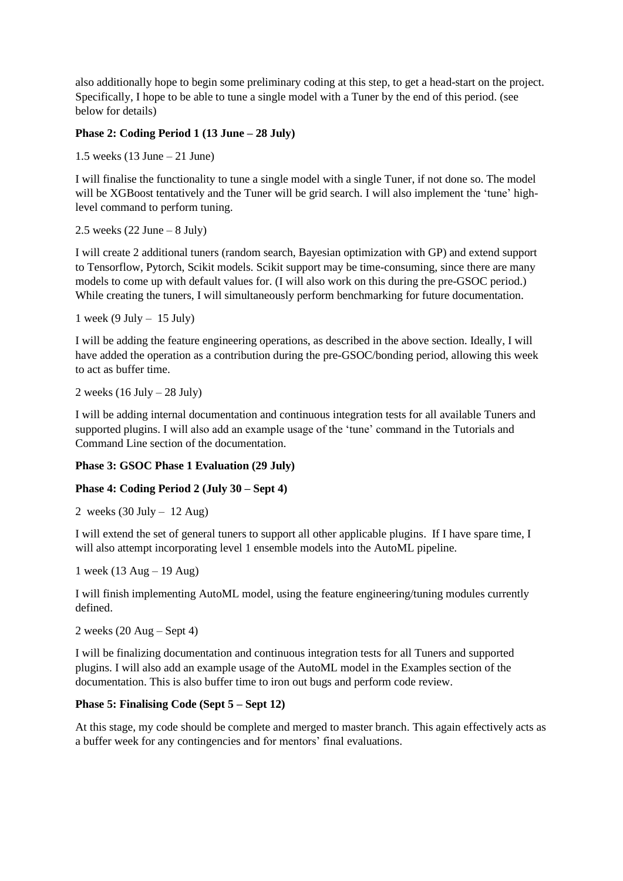also additionally hope to begin some preliminary coding at this step, to get a head-start on the project. Specifically, I hope to be able to tune a single model with a Tuner by the end of this period. (see below for details)

### **Phase 2: Coding Period 1 (13 June – 28 July)**

1.5 weeks (13 June – 21 June)

I will finalise the functionality to tune a single model with a single Tuner, if not done so. The model will be XGBoost tentatively and the Tuner will be grid search. I will also implement the 'tune' highlevel command to perform tuning.

2.5 weeks  $(22 \text{ June} - 8 \text{ July})$ 

I will create 2 additional tuners (random search, Bayesian optimization with GP) and extend support to Tensorflow, Pytorch, Scikit models. Scikit support may be time-consuming, since there are many models to come up with default values for. (I will also work on this during the pre-GSOC period.) While creating the tuners, I will simultaneously perform benchmarking for future documentation.

1 week (9 July  $-15$  July)

I will be adding the feature engineering operations, as described in the above section. Ideally, I will have added the operation as a contribution during the pre-GSOC/bonding period, allowing this week to act as buffer time.

2 weeks  $(16 \text{ July} - 28 \text{ July})$ 

I will be adding internal documentation and continuous integration tests for all available Tuners and supported plugins. I will also add an example usage of the 'tune' command in the Tutorials and Command Line section of the documentation.

### **Phase 3: GSOC Phase 1 Evaluation (29 July)**

#### **Phase 4: Coding Period 2 (July 30 – Sept 4)**

2 weeks  $(30 \text{ July} - 12 \text{ Aug})$ 

I will extend the set of general tuners to support all other applicable plugins. If I have spare time, I will also attempt incorporating level 1 ensemble models into the AutoML pipeline.

1 week (13 Aug – 19 Aug)

I will finish implementing AutoML model, using the feature engineering/tuning modules currently defined.

```
2 weeks (20 \text{ Aug} - \text{Sept } 4)
```
I will be finalizing documentation and continuous integration tests for all Tuners and supported plugins. I will also add an example usage of the AutoML model in the Examples section of the documentation. This is also buffer time to iron out bugs and perform code review.

#### **Phase 5: Finalising Code (Sept 5 – Sept 12)**

At this stage, my code should be complete and merged to master branch. This again effectively acts as a buffer week for any contingencies and for mentors' final evaluations.